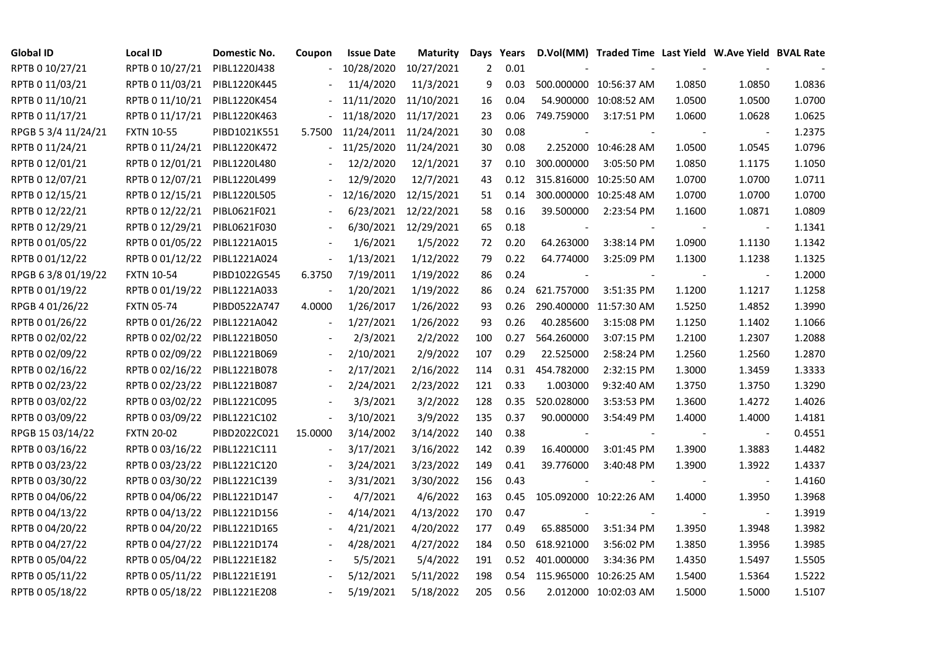| <b>Global ID</b>    | <b>Local ID</b>   | Domestic No. | Coupon                   | <b>Issue Date</b>     | <b>Maturity</b>       | Days | Years |                | D.Vol(MM) Traded Time Last Yield W.Ave Yield BVAL Rate |        |                          |        |
|---------------------|-------------------|--------------|--------------------------|-----------------------|-----------------------|------|-------|----------------|--------------------------------------------------------|--------|--------------------------|--------|
| RPTB 0 10/27/21     | RPTB 0 10/27/21   | PIBL1220J438 |                          | 10/28/2020            | 10/27/2021            | 2    | 0.01  |                |                                                        |        |                          |        |
| RPTB 0 11/03/21     | RPTB 0 11/03/21   | PIBL1220K445 |                          | 11/4/2020             | 11/3/2021             | 9    | 0.03  |                | 500.000000 10:56:37 AM                                 | 1.0850 | 1.0850                   | 1.0836 |
| RPTB 0 11/10/21     | RPTB 0 11/10/21   | PIBL1220K454 |                          | 11/11/2020 11/10/2021 |                       | 16   | 0.04  |                | 54.900000 10:08:52 AM                                  | 1.0500 | 1.0500                   | 1.0700 |
| RPTB 0 11/17/21     | RPTB 0 11/17/21   | PIBL1220K463 |                          | 11/18/2020 11/17/2021 |                       | 23   | 0.06  | 749.759000     | 3:17:51 PM                                             | 1.0600 | 1.0628                   | 1.0625 |
| RPGB 5 3/4 11/24/21 | <b>FXTN 10-55</b> | PIBD1021K551 | 5.7500                   |                       | 11/24/2011 11/24/2021 | 30   | 0.08  |                |                                                        |        | $\overline{\phantom{a}}$ | 1.2375 |
| RPTB 0 11/24/21     | RPTB 0 11/24/21   | PIBL1220K472 |                          | 11/25/2020 11/24/2021 |                       | 30   | 0.08  |                | 2.252000 10:46:28 AM                                   | 1.0500 | 1.0545                   | 1.0796 |
| RPTB 0 12/01/21     | RPTB 0 12/01/21   | PIBL1220L480 |                          | 12/2/2020             | 12/1/2021             | 37   | 0.10  | 300.000000     | 3:05:50 PM                                             | 1.0850 | 1.1175                   | 1.1050 |
| RPTB 0 12/07/21     | RPTB 0 12/07/21   | PIBL1220L499 |                          | 12/9/2020             | 12/7/2021             | 43   | 0.12  |                | 315.816000 10:25:50 AM                                 | 1.0700 | 1.0700                   | 1.0711 |
| RPTB 0 12/15/21     | RPTB 0 12/15/21   | PIBL1220L505 |                          | 12/16/2020            | 12/15/2021            | 51   | 0.14  |                | 300.000000 10:25:48 AM                                 | 1.0700 | 1.0700                   | 1.0700 |
| RPTB 0 12/22/21     | RPTB 0 12/22/21   | PIBL0621F021 |                          | 6/23/2021             | 12/22/2021            | 58   | 0.16  | 39.500000      | 2:23:54 PM                                             | 1.1600 | 1.0871                   | 1.0809 |
| RPTB 0 12/29/21     | RPTB 0 12/29/21   | PIBL0621F030 |                          | 6/30/2021             | 12/29/2021            | 65   | 0.18  |                |                                                        |        | $\overline{\phantom{a}}$ | 1.1341 |
| RPTB 0 01/05/22     | RPTB 0 01/05/22   | PIBL1221A015 |                          | 1/6/2021              | 1/5/2022              | 72   | 0.20  | 64.263000      | 3:38:14 PM                                             | 1.0900 | 1.1130                   | 1.1342 |
| RPTB 0 01/12/22     | RPTB 0 01/12/22   | PIBL1221A024 | $\overline{\phantom{a}}$ | 1/13/2021             | 1/12/2022             | 79   | 0.22  | 64.774000      | 3:25:09 PM                                             | 1.1300 | 1.1238                   | 1.1325 |
| RPGB 63/8 01/19/22  | <b>FXTN 10-54</b> | PIBD1022G545 | 6.3750                   | 7/19/2011             | 1/19/2022             | 86   | 0.24  | $\blacksquare$ | $\blacksquare$                                         |        | $\blacksquare$           | 1.2000 |
| RPTB 0 01/19/22     | RPTB 0 01/19/22   | PIBL1221A033 |                          | 1/20/2021             | 1/19/2022             | 86   | 0.24  | 621.757000     | 3:51:35 PM                                             | 1.1200 | 1.1217                   | 1.1258 |
| RPGB 4 01/26/22     | <b>FXTN 05-74</b> | PIBD0522A747 | 4.0000                   | 1/26/2017             | 1/26/2022             | 93   | 0.26  |                | 290.400000 11:57:30 AM                                 | 1.5250 | 1.4852                   | 1.3990 |
| RPTB 0 01/26/22     | RPTB 0 01/26/22   | PIBL1221A042 | $\sim$                   | 1/27/2021             | 1/26/2022             | 93   | 0.26  | 40.285600      | 3:15:08 PM                                             | 1.1250 | 1.1402                   | 1.1066 |
| RPTB 0 02/02/22     | RPTB 0 02/02/22   | PIBL1221B050 |                          | 2/3/2021              | 2/2/2022              | 100  | 0.27  | 564.260000     | 3:07:15 PM                                             | 1.2100 | 1.2307                   | 1.2088 |
| RPTB 0 02/09/22     | RPTB 0 02/09/22   | PIBL1221B069 |                          | 2/10/2021             | 2/9/2022              | 107  | 0.29  | 22.525000      | 2:58:24 PM                                             | 1.2560 | 1.2560                   | 1.2870 |
| RPTB 0 02/16/22     | RPTB 0 02/16/22   | PIBL1221B078 |                          | 2/17/2021             | 2/16/2022             | 114  | 0.31  | 454.782000     | 2:32:15 PM                                             | 1.3000 | 1.3459                   | 1.3333 |
| RPTB 0 02/23/22     | RPTB 0 02/23/22   | PIBL1221B087 |                          | 2/24/2021             | 2/23/2022             | 121  | 0.33  | 1.003000       | 9:32:40 AM                                             | 1.3750 | 1.3750                   | 1.3290 |
| RPTB 0 03/02/22     | RPTB 0 03/02/22   | PIBL1221C095 |                          | 3/3/2021              | 3/2/2022              | 128  | 0.35  | 520.028000     | 3:53:53 PM                                             | 1.3600 | 1.4272                   | 1.4026 |
| RPTB 0 03/09/22     | RPTB 0 03/09/22   | PIBL1221C102 |                          | 3/10/2021             | 3/9/2022              | 135  | 0.37  | 90.000000      | 3:54:49 PM                                             | 1.4000 | 1.4000                   | 1.4181 |
| RPGB 15 03/14/22    | <b>FXTN 20-02</b> | PIBD2022C021 | 15.0000                  | 3/14/2002             | 3/14/2022             | 140  | 0.38  |                |                                                        |        |                          | 0.4551 |
| RPTB 0 03/16/22     | RPTB 0 03/16/22   | PIBL1221C111 | $\overline{\phantom{a}}$ | 3/17/2021             | 3/16/2022             | 142  | 0.39  | 16.400000      | 3:01:45 PM                                             | 1.3900 | 1.3883                   | 1.4482 |
| RPTB 0 03/23/22     | RPTB 0 03/23/22   | PIBL1221C120 |                          | 3/24/2021             | 3/23/2022             | 149  | 0.41  | 39.776000      | 3:40:48 PM                                             | 1.3900 | 1.3922                   | 1.4337 |
| RPTB 0 03/30/22     | RPTB 0 03/30/22   | PIBL1221C139 |                          | 3/31/2021             | 3/30/2022             | 156  | 0.43  |                |                                                        |        | $\overline{\phantom{a}}$ | 1.4160 |
| RPTB 0 04/06/22     | RPTB 0 04/06/22   | PIBL1221D147 |                          | 4/7/2021              | 4/6/2022              | 163  | 0.45  |                | 105.092000 10:22:26 AM                                 | 1.4000 | 1.3950                   | 1.3968 |
| RPTB 0 04/13/22     | RPTB 0 04/13/22   | PIBL1221D156 |                          | 4/14/2021             | 4/13/2022             | 170  | 0.47  |                |                                                        |        | $\blacksquare$           | 1.3919 |
| RPTB 0 04/20/22     | RPTB 0 04/20/22   | PIBL1221D165 |                          | 4/21/2021             | 4/20/2022             | 177  | 0.49  | 65.885000      | 3:51:34 PM                                             | 1.3950 | 1.3948                   | 1.3982 |
| RPTB 0 04/27/22     | RPTB 0 04/27/22   | PIBL1221D174 |                          | 4/28/2021             | 4/27/2022             | 184  | 0.50  | 618.921000     | 3:56:02 PM                                             | 1.3850 | 1.3956                   | 1.3985 |
| RPTB 0 05/04/22     | RPTB 0 05/04/22   | PIBL1221E182 |                          | 5/5/2021              | 5/4/2022              | 191  | 0.52  | 401.000000     | 3:34:36 PM                                             | 1.4350 | 1.5497                   | 1.5505 |
| RPTB 0 05/11/22     | RPTB 0 05/11/22   | PIBL1221E191 |                          | 5/12/2021             | 5/11/2022             | 198  | 0.54  |                | 115.965000 10:26:25 AM                                 | 1.5400 | 1.5364                   | 1.5222 |
| RPTB 0 05/18/22     | RPTB 0 05/18/22   | PIBL1221E208 |                          | 5/19/2021             | 5/18/2022             | 205  | 0.56  |                | 2.012000 10:02:03 AM                                   | 1.5000 | 1.5000                   | 1.5107 |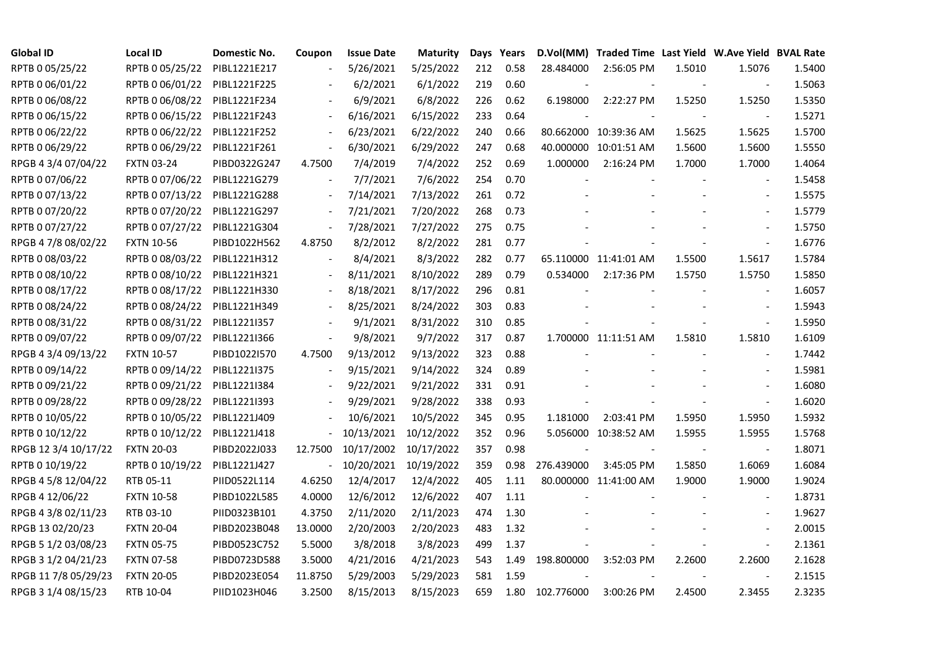| <b>Global ID</b>     | <b>Local ID</b>   | Domestic No. | Coupon                   | <b>Issue Date</b> | Maturity   |     | Days Years |            | D.Vol(MM) Traded Time Last Yield W.Ave Yield BVAL Rate |        |                |        |
|----------------------|-------------------|--------------|--------------------------|-------------------|------------|-----|------------|------------|--------------------------------------------------------|--------|----------------|--------|
| RPTB 0 05/25/22      | RPTB 0 05/25/22   | PIBL1221E217 |                          | 5/26/2021         | 5/25/2022  | 212 | 0.58       | 28.484000  | 2:56:05 PM                                             | 1.5010 | 1.5076         | 1.5400 |
| RPTB 0 06/01/22      | RPTB 0 06/01/22   | PIBL1221F225 |                          | 6/2/2021          | 6/1/2022   | 219 | 0.60       |            |                                                        |        |                | 1.5063 |
| RPTB 0 06/08/22      | RPTB 0 06/08/22   | PIBL1221F234 |                          | 6/9/2021          | 6/8/2022   | 226 | 0.62       | 6.198000   | 2:22:27 PM                                             | 1.5250 | 1.5250         | 1.5350 |
| RPTB 0 06/15/22      | RPTB 0 06/15/22   | PIBL1221F243 | $\blacksquare$           | 6/16/2021         | 6/15/2022  | 233 | 0.64       |            |                                                        |        |                | 1.5271 |
| RPTB 0 06/22/22      | RPTB 0 06/22/22   | PIBL1221F252 | $\overline{a}$           | 6/23/2021         | 6/22/2022  | 240 | 0.66       |            | 80.662000 10:39:36 AM                                  | 1.5625 | 1.5625         | 1.5700 |
| RPTB 0 06/29/22      | RPTB 0 06/29/22   | PIBL1221F261 | $\sim$                   | 6/30/2021         | 6/29/2022  | 247 | 0.68       |            | 40.000000 10:01:51 AM                                  | 1.5600 | 1.5600         | 1.5550 |
| RPGB 4 3/4 07/04/22  | <b>FXTN 03-24</b> | PIBD0322G247 | 4.7500                   | 7/4/2019          | 7/4/2022   | 252 | 0.69       | 1.000000   | 2:16:24 PM                                             | 1.7000 | 1.7000         | 1.4064 |
| RPTB 0 07/06/22      | RPTB 0 07/06/22   | PIBL1221G279 |                          | 7/7/2021          | 7/6/2022   | 254 | 0.70       |            |                                                        |        |                | 1.5458 |
| RPTB 0 07/13/22      | RPTB 0 07/13/22   | PIBL1221G288 |                          | 7/14/2021         | 7/13/2022  | 261 | 0.72       |            |                                                        |        |                | 1.5575 |
| RPTB 0 07/20/22      | RPTB 0 07/20/22   | PIBL1221G297 | $\overline{\phantom{a}}$ | 7/21/2021         | 7/20/2022  | 268 | 0.73       |            |                                                        |        |                | 1.5779 |
| RPTB 0 07/27/22      | RPTB 0 07/27/22   | PIBL1221G304 | $\overline{a}$           | 7/28/2021         | 7/27/2022  | 275 | 0.75       |            |                                                        |        |                | 1.5750 |
| RPGB 4 7/8 08/02/22  | <b>FXTN 10-56</b> | PIBD1022H562 | 4.8750                   | 8/2/2012          | 8/2/2022   | 281 | 0.77       |            |                                                        |        | $\sim$         | 1.6776 |
| RPTB 0 08/03/22      | RPTB 0 08/03/22   | PIBL1221H312 | $\overline{\phantom{a}}$ | 8/4/2021          | 8/3/2022   | 282 | 0.77       |            | 65.110000 11:41:01 AM                                  | 1.5500 | 1.5617         | 1.5784 |
| RPTB 0 08/10/22      | RPTB 0 08/10/22   | PIBL1221H321 |                          | 8/11/2021         | 8/10/2022  | 289 | 0.79       | 0.534000   | 2:17:36 PM                                             | 1.5750 | 1.5750         | 1.5850 |
| RPTB 0 08/17/22      | RPTB 0 08/17/22   | PIBL1221H330 |                          | 8/18/2021         | 8/17/2022  | 296 | 0.81       |            |                                                        |        |                | 1.6057 |
| RPTB 0 08/24/22      | RPTB 0 08/24/22   | PIBL1221H349 |                          | 8/25/2021         | 8/24/2022  | 303 | 0.83       |            |                                                        |        |                | 1.5943 |
| RPTB 0 08/31/22      | RPTB 0 08/31/22   | PIBL1221I357 |                          | 9/1/2021          | 8/31/2022  | 310 | 0.85       |            |                                                        |        |                | 1.5950 |
| RPTB 0 09/07/22      | RPTB 0 09/07/22   | PIBL1221I366 | $\blacksquare$           | 9/8/2021          | 9/7/2022   | 317 | 0.87       |            | 1.700000 11:11:51 AM                                   | 1.5810 | 1.5810         | 1.6109 |
| RPGB 4 3/4 09/13/22  | <b>FXTN 10-57</b> | PIBD1022I570 | 4.7500                   | 9/13/2012         | 9/13/2022  | 323 | 0.88       |            |                                                        |        |                | 1.7442 |
| RPTB 0 09/14/22      | RPTB 0 09/14/22   | PIBL1221I375 |                          | 9/15/2021         | 9/14/2022  | 324 | 0.89       |            |                                                        |        |                | 1.5981 |
| RPTB 0 09/21/22      | RPTB 0 09/21/22   | PIBL1221I384 |                          | 9/22/2021         | 9/21/2022  | 331 | 0.91       |            |                                                        |        |                | 1.6080 |
| RPTB 0 09/28/22      | RPTB 0 09/28/22   | PIBL1221I393 |                          | 9/29/2021         | 9/28/2022  | 338 | 0.93       |            | $\overline{\phantom{a}}$                               |        | $\blacksquare$ | 1.6020 |
| RPTB 0 10/05/22      | RPTB 0 10/05/22   | PIBL1221J409 |                          | 10/6/2021         | 10/5/2022  | 345 | 0.95       | 1.181000   | 2:03:41 PM                                             | 1.5950 | 1.5950         | 1.5932 |
| RPTB 0 10/12/22      | RPTB 0 10/12/22   | PIBL1221J418 |                          | 10/13/2021        | 10/12/2022 | 352 | 0.96       |            | 5.056000 10:38:52 AM                                   | 1.5955 | 1.5955         | 1.5768 |
| RPGB 12 3/4 10/17/22 | <b>FXTN 20-03</b> | PIBD2022J033 | 12.7500                  | 10/17/2002        | 10/17/2022 | 357 | 0.98       |            |                                                        |        |                | 1.8071 |
| RPTB 0 10/19/22      | RPTB 0 10/19/22   | PIBL1221J427 | $\bar{\phantom{a}}$      | 10/20/2021        | 10/19/2022 | 359 | 0.98       | 276.439000 | 3:45:05 PM                                             | 1.5850 | 1.6069         | 1.6084 |
| RPGB 4 5/8 12/04/22  | RTB 05-11         | PIID0522L114 | 4.6250                   | 12/4/2017         | 12/4/2022  | 405 | 1.11       |            | 80.000000 11:41:00 AM                                  | 1.9000 | 1.9000         | 1.9024 |
| RPGB 4 12/06/22      | <b>FXTN 10-58</b> | PIBD1022L585 | 4.0000                   | 12/6/2012         | 12/6/2022  | 407 | 1.11       |            |                                                        |        |                | 1.8731 |
| RPGB 4 3/8 02/11/23  | RTB 03-10         | PIID0323B101 | 4.3750                   | 2/11/2020         | 2/11/2023  | 474 | 1.30       |            |                                                        |        |                | 1.9627 |
| RPGB 13 02/20/23     | <b>FXTN 20-04</b> | PIBD2023B048 | 13.0000                  | 2/20/2003         | 2/20/2023  | 483 | 1.32       |            |                                                        |        |                | 2.0015 |
| RPGB 5 1/2 03/08/23  | <b>FXTN 05-75</b> | PIBD0523C752 | 5.5000                   | 3/8/2018          | 3/8/2023   | 499 | 1.37       |            |                                                        |        | $\blacksquare$ | 2.1361 |
| RPGB 3 1/2 04/21/23  | <b>FXTN 07-58</b> | PIBD0723D588 | 3.5000                   | 4/21/2016         | 4/21/2023  | 543 | 1.49       | 198.800000 | 3:52:03 PM                                             | 2.2600 | 2.2600         | 2.1628 |
| RPGB 11 7/8 05/29/23 | <b>FXTN 20-05</b> | PIBD2023E054 | 11.8750                  | 5/29/2003         | 5/29/2023  | 581 | 1.59       |            |                                                        |        |                | 2.1515 |
| RPGB 3 1/4 08/15/23  | RTB 10-04         | PIID1023H046 | 3.2500                   | 8/15/2013         | 8/15/2023  | 659 | 1.80       | 102.776000 | 3:00:26 PM                                             | 2.4500 | 2.3455         | 2.3235 |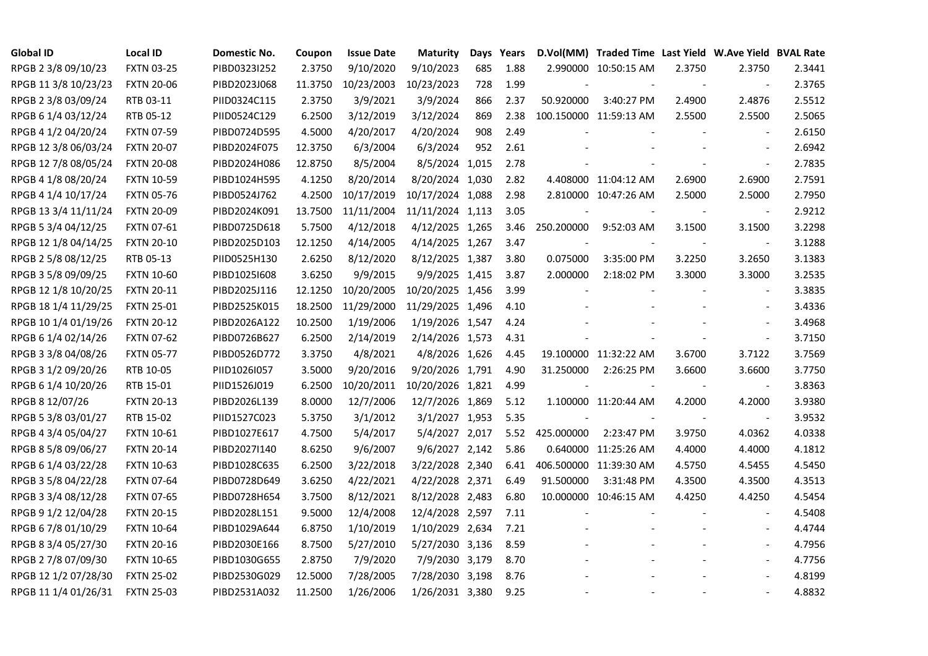| <b>Global ID</b>     | <b>Local ID</b>   | Domestic No. | Coupon  | <b>Issue Date</b> | <b>Maturity</b>  | Days | Years |                          | D.Vol(MM) Traded Time Last Yield W.Ave Yield BVAL Rate |                          |                          |        |
|----------------------|-------------------|--------------|---------|-------------------|------------------|------|-------|--------------------------|--------------------------------------------------------|--------------------------|--------------------------|--------|
| RPGB 2 3/8 09/10/23  | <b>FXTN 03-25</b> | PIBD0323I252 | 2.3750  | 9/10/2020         | 9/10/2023        | 685  | 1.88  |                          | 2.990000 10:50:15 AM                                   | 2.3750                   | 2.3750                   | 2.3441 |
| RPGB 11 3/8 10/23/23 | <b>FXTN 20-06</b> | PIBD2023J068 | 11.3750 | 10/23/2003        | 10/23/2023       | 728  | 1.99  |                          |                                                        |                          |                          | 2.3765 |
| RPGB 2 3/8 03/09/24  | RTB 03-11         | PIID0324C115 | 2.3750  | 3/9/2021          | 3/9/2024         | 866  | 2.37  | 50.920000                | 3:40:27 PM                                             | 2.4900                   | 2.4876                   | 2.5512 |
| RPGB 6 1/4 03/12/24  | RTB 05-12         | PIID0524C129 | 6.2500  | 3/12/2019         | 3/12/2024        | 869  | 2.38  |                          | 100.150000 11:59:13 AM                                 | 2.5500                   | 2.5500                   | 2.5065 |
| RPGB 4 1/2 04/20/24  | <b>FXTN 07-59</b> | PIBD0724D595 | 4.5000  | 4/20/2017         | 4/20/2024        | 908  | 2.49  |                          |                                                        |                          |                          | 2.6150 |
| RPGB 12 3/8 06/03/24 | <b>FXTN 20-07</b> | PIBD2024F075 | 12.3750 | 6/3/2004          | 6/3/2024         | 952  | 2.61  |                          |                                                        |                          | $\overline{\phantom{a}}$ | 2.6942 |
| RPGB 12 7/8 08/05/24 | <b>FXTN 20-08</b> | PIBD2024H086 | 12.8750 | 8/5/2004          | 8/5/2024 1,015   |      | 2.78  |                          |                                                        |                          | $\blacksquare$           | 2.7835 |
| RPGB 4 1/8 08/20/24  | <b>FXTN 10-59</b> | PIBD1024H595 | 4.1250  | 8/20/2014         | 8/20/2024 1,030  |      | 2.82  |                          | 4.408000 11:04:12 AM                                   | 2.6900                   | 2.6900                   | 2.7591 |
| RPGB 4 1/4 10/17/24  | <b>FXTN 05-76</b> | PIBD0524J762 | 4.2500  | 10/17/2019        | 10/17/2024 1,088 |      | 2.98  |                          | 2.810000 10:47:26 AM                                   | 2.5000                   | 2.5000                   | 2.7950 |
| RPGB 13 3/4 11/11/24 | <b>FXTN 20-09</b> | PIBD2024K091 | 13.7500 | 11/11/2004        | 11/11/2024 1,113 |      | 3.05  |                          |                                                        |                          | $\blacksquare$           | 2.9212 |
| RPGB 5 3/4 04/12/25  | <b>FXTN 07-61</b> | PIBD0725D618 | 5.7500  | 4/12/2018         | 4/12/2025 1,265  |      | 3.46  | 250.200000               | 9:52:03 AM                                             | 3.1500                   | 3.1500                   | 3.2298 |
| RPGB 12 1/8 04/14/25 | <b>FXTN 20-10</b> | PIBD2025D103 | 12.1250 | 4/14/2005         | 4/14/2025 1,267  |      | 3.47  |                          |                                                        |                          | $\blacksquare$           | 3.1288 |
| RPGB 2 5/8 08/12/25  | RTB 05-13         | PIID0525H130 | 2.6250  | 8/12/2020         | 8/12/2025 1,387  |      | 3.80  | 0.075000                 | 3:35:00 PM                                             | 3.2250                   | 3.2650                   | 3.1383 |
| RPGB 3 5/8 09/09/25  | <b>FXTN 10-60</b> | PIBD10251608 | 3.6250  | 9/9/2015          | 9/9/2025 1,415   |      | 3.87  | 2.000000                 | 2:18:02 PM                                             | 3.3000                   | 3.3000                   | 3.2535 |
| RPGB 12 1/8 10/20/25 | <b>FXTN 20-11</b> | PIBD2025J116 | 12.1250 | 10/20/2005        | 10/20/2025 1,456 |      | 3.99  |                          |                                                        |                          |                          | 3.3835 |
| RPGB 18 1/4 11/29/25 | <b>FXTN 25-01</b> | PIBD2525K015 | 18.2500 | 11/29/2000        | 11/29/2025 1,496 |      | 4.10  |                          |                                                        |                          |                          | 3.4336 |
| RPGB 10 1/4 01/19/26 | <b>FXTN 20-12</b> | PIBD2026A122 | 10.2500 | 1/19/2006         | 1/19/2026 1,547  |      | 4.24  |                          |                                                        |                          | $\sim$                   | 3.4968 |
| RPGB 6 1/4 02/14/26  | <b>FXTN 07-62</b> | PIBD0726B627 | 6.2500  | 2/14/2019         | 2/14/2026 1,573  |      | 4.31  |                          |                                                        |                          | $\blacksquare$           | 3.7150 |
| RPGB 3 3/8 04/08/26  | <b>FXTN 05-77</b> | PIBD0526D772 | 3.3750  | 4/8/2021          | 4/8/2026 1,626   |      | 4.45  |                          | 19.100000 11:32:22 AM                                  | 3.6700                   | 3.7122                   | 3.7569 |
| RPGB 3 1/2 09/20/26  | RTB 10-05         | PIID1026I057 | 3.5000  | 9/20/2016         | 9/20/2026 1,791  |      | 4.90  | 31.250000                | 2:26:25 PM                                             | 3.6600                   | 3.6600                   | 3.7750 |
| RPGB 6 1/4 10/20/26  | RTB 15-01         | PIID1526J019 | 6.2500  | 10/20/2011        | 10/20/2026 1,821 |      | 4.99  | $\overline{\phantom{a}}$ | $\blacksquare$                                         | $\overline{\phantom{a}}$ | $\overline{\phantom{a}}$ | 3.8363 |
| RPGB 8 12/07/26      | <b>FXTN 20-13</b> | PIBD2026L139 | 8.0000  | 12/7/2006         | 12/7/2026 1,869  |      | 5.12  |                          | 1.100000 11:20:44 AM                                   | 4.2000                   | 4.2000                   | 3.9380 |
| RPGB 5 3/8 03/01/27  | RTB 15-02         | PIID1527C023 | 5.3750  | 3/1/2012          | 3/1/2027 1,953   |      | 5.35  |                          |                                                        |                          |                          | 3.9532 |
| RPGB 4 3/4 05/04/27  | <b>FXTN 10-61</b> | PIBD1027E617 | 4.7500  | 5/4/2017          | 5/4/2027 2,017   |      | 5.52  | 425.000000               | 2:23:47 PM                                             | 3.9750                   | 4.0362                   | 4.0338 |
| RPGB 8 5/8 09/06/27  | <b>FXTN 20-14</b> | PIBD2027I140 | 8.6250  | 9/6/2007          | 9/6/2027 2,142   |      | 5.86  |                          | 0.640000 11:25:26 AM                                   | 4.4000                   | 4.4000                   | 4.1812 |
| RPGB 6 1/4 03/22/28  | <b>FXTN 10-63</b> | PIBD1028C635 | 6.2500  | 3/22/2018         | 3/22/2028 2,340  |      | 6.41  |                          | 406.500000 11:39:30 AM                                 | 4.5750                   | 4.5455                   | 4.5450 |
| RPGB 3 5/8 04/22/28  | <b>FXTN 07-64</b> | PIBD0728D649 | 3.6250  | 4/22/2021         | 4/22/2028 2,371  |      | 6.49  | 91.500000                | 3:31:48 PM                                             | 4.3500                   | 4.3500                   | 4.3513 |
| RPGB 3 3/4 08/12/28  | <b>FXTN 07-65</b> | PIBD0728H654 | 3.7500  | 8/12/2021         | 8/12/2028 2,483  |      | 6.80  |                          | 10.000000 10:46:15 AM                                  | 4.4250                   | 4.4250                   | 4.5454 |
| RPGB 9 1/2 12/04/28  | <b>FXTN 20-15</b> | PIBD2028L151 | 9.5000  | 12/4/2008         | 12/4/2028 2,597  |      | 7.11  |                          |                                                        |                          |                          | 4.5408 |
| RPGB 67/8 01/10/29   | <b>FXTN 10-64</b> | PIBD1029A644 | 6.8750  | 1/10/2019         | 1/10/2029 2,634  |      | 7.21  |                          |                                                        |                          |                          | 4.4744 |
| RPGB 8 3/4 05/27/30  | <b>FXTN 20-16</b> | PIBD2030E166 | 8.7500  | 5/27/2010         | 5/27/2030 3,136  |      | 8.59  |                          |                                                        |                          | $\sim$                   | 4.7956 |
| RPGB 2 7/8 07/09/30  | <b>FXTN 10-65</b> | PIBD1030G655 | 2.8750  | 7/9/2020          | 7/9/2030 3,179   |      | 8.70  |                          |                                                        |                          | $\overline{\phantom{a}}$ | 4.7756 |
| RPGB 12 1/2 07/28/30 | <b>FXTN 25-02</b> | PIBD2530G029 | 12.5000 | 7/28/2005         | 7/28/2030 3,198  |      | 8.76  |                          |                                                        |                          |                          | 4.8199 |
| RPGB 11 1/4 01/26/31 | <b>FXTN 25-03</b> | PIBD2531A032 | 11.2500 | 1/26/2006         | 1/26/2031 3,380  |      | 9.25  |                          | $\overline{a}$                                         |                          | $\blacksquare$           | 4.8832 |